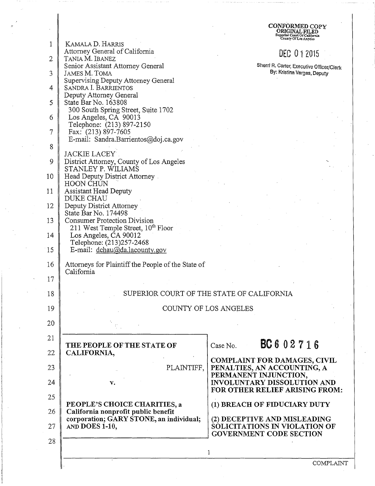|              |                                                                                        | <b>CONFORMED COPY</b><br>Superior Court Of California<br>County Of Los Angeles |
|--------------|----------------------------------------------------------------------------------------|--------------------------------------------------------------------------------|
| 1            | KAMALA D. HARRIS                                                                       |                                                                                |
| $\mathbf{2}$ | Attorney General of California<br>TANIA M. IBANEZ                                      | DEC 012015                                                                     |
|              | Senior Assistant Attorney General                                                      | Sherri R. Carter, Executive Officer/Clerk                                      |
| 3            | JAMES M. TOMA                                                                          | By: Kristina Vargas, Deputy                                                    |
| 4            | Supervising Deputy Attorney General<br>SANDRA I. BARRIENTOS                            |                                                                                |
| 5            | Deputy Attorney General<br>State Bar No. 163808<br>300 South Spring Street, Suite 1702 |                                                                                |
| 6            | Los Angeles, CA 90013                                                                  |                                                                                |
| 7            | Telephone: (213) 897-2150<br>Fax: (213) 897-7605                                       |                                                                                |
| 8            | E-mail: Sandra.Barrientos@doj.ca.gov                                                   |                                                                                |
|              | JACKIE LACEY                                                                           |                                                                                |
| 9            | District Attorney, County of Los Angeles<br>STANLEY P. WILIAMS                         |                                                                                |
| 10           | Head Deputy District Attorney<br><b>HOON CHUN</b>                                      |                                                                                |
| 11           | Assistant Head Deputy                                                                  |                                                                                |
| 12           | <b>DUKE CHAU</b><br>Deputy District Attorney                                           |                                                                                |
| 13           | State Bar No. 174498<br><b>Consumer Protection Division</b>                            |                                                                                |
|              | 211 West Temple Street, 10 <sup>th</sup> Floor                                         |                                                                                |
| 14           | Los Angeles, CA 90012<br>Telephone: (213)257-2468                                      |                                                                                |
| 15           | E-mail: dchau@da.lacounty.gov                                                          |                                                                                |
| 16           | Attorneys for Plaintiff the People of the State of<br>California                       |                                                                                |
| 17           |                                                                                        |                                                                                |
| 18           | SUPERIOR COURT OF THE STATE OF CALIFORNIA                                              |                                                                                |
| 19           |                                                                                        | COUNTY OF LOS ANGELES                                                          |
| 20           |                                                                                        |                                                                                |
| 21<br>22     | THE PEOPLE OF THE STATE OF<br>CALIFORNIA,                                              | BC602716<br>Case No.                                                           |
|              |                                                                                        | <b>COMPLAINT FOR DAMAGES, CIVIL</b>                                            |
| 23           | PLAINTIFF,                                                                             | PENALTIES, AN ACCOUNTING, A<br>PERMANENT INJUNCTION,                           |
| 24           | $\mathbf{v}$ .                                                                         | INVOLUNTARY DISSOLUTION AND<br>FOR OTHER RELIEF ARISING FROM:                  |
| 25           | PEOPLE'S CHOICE CHARITIES, a                                                           | (1) BREACH OF FIDUCIARY DUTY                                                   |
| 26           | California nonprofit public benefit<br>corporation; GARY STONE, an individual;         | (2) DECEPTIVE AND MISLEADING                                                   |
| 27           | AND DOES 1-10,                                                                         | SOLICITATIONS IN VIOLATION OF<br><b>GOVERNMENT CODE SECTION</b>                |
| 28           |                                                                                        | 1                                                                              |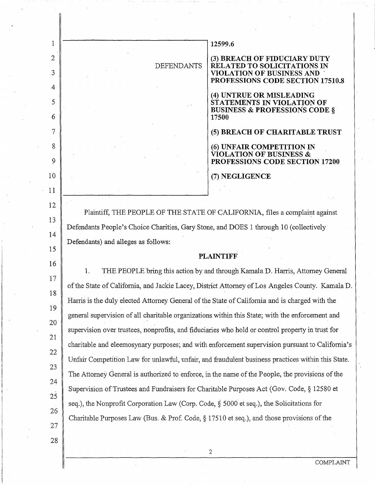| 1              |                                                                                                  | 12599.6                                                                                                    |  |
|----------------|--------------------------------------------------------------------------------------------------|------------------------------------------------------------------------------------------------------------|--|
| $\mathfrak{2}$ |                                                                                                  | (3) BREACH OF FIDUCIARY DUTY                                                                               |  |
| 3              | <b>DEFENDANTS</b>                                                                                | <b>RELATED TO SOLICITATIONS IN</b><br><b>VIOLATION OF BUSINESS AND</b><br>PROFESSIONS CODE SECTION 17510.8 |  |
| 4              |                                                                                                  | (4) UNTRUE OR MISLEADING                                                                                   |  |
| 5<br>6         |                                                                                                  | STATEMENTS IN VIOLATION OF<br><b>BUSINESS &amp; PROFESSIONS CODE §</b><br>17500                            |  |
| 7              |                                                                                                  | (5) BREACH OF CHARITABLE TRUST                                                                             |  |
| 8              |                                                                                                  | (6) UNFAIR COMPETITION IN                                                                                  |  |
| 9              |                                                                                                  | <b>VIOLATION OF BUSINESS &amp;</b><br>PROFESSIONS CODE SECTION 17200                                       |  |
| 10             |                                                                                                  | (7) NEGLIGENCE                                                                                             |  |
| 11             |                                                                                                  |                                                                                                            |  |
| 12             |                                                                                                  |                                                                                                            |  |
| 13             |                                                                                                  | Plaintiff, THE PEOPLE OF THE STATE OF CALIFORNIA, files a complaint against                                |  |
| 14             | Defendants People's Choice Charities, Gary Stone, and DOES 1 through 10 (collectively            |                                                                                                            |  |
| 15             | Defendants) and alleges as follows:                                                              |                                                                                                            |  |
| 16             |                                                                                                  | <b>PLAINTIFF</b>                                                                                           |  |
| 17             | 1.                                                                                               | THE PEOPLE bring this action by and through Kamala D. Harris, Attorney General                             |  |
| 18             |                                                                                                  | of the State of California, and Jackie Lacey, District Attorney of Los Angeles County. Kamala D.           |  |
| 19             | Harris is the duly elected Attorney General of the State of California and is charged with the   |                                                                                                            |  |
| 20             | general supervision of all charitable organizations within this State; with the enforcement and  |                                                                                                            |  |
| 21             | supervision over trustees, nonprofits, and fiduciaries who hold or control property in trust for |                                                                                                            |  |
| 22             |                                                                                                  | charitable and eleemosynary purposes; and with enforcement supervision pursuant to California's            |  |
| 23             |                                                                                                  | Unfair Competition Law for unlawful, unfair, and fraudulent business practices within this State.          |  |
| 24             | The Attorney General is authorized to enforce, in the name of the People, the provisions of the  |                                                                                                            |  |
| 25             | Supervision of Trustees and Fundraisers for Charitable Purposes Act (Gov. Code, § 12580 et       |                                                                                                            |  |
| 26             | seq.), the Nonprofit Corporation Law (Corp. Code, § 5000 et seq.), the Solicitations for         |                                                                                                            |  |
|                | Charitable Purposes Law (Bus. & Prof. Code, $\S 17510$ et seq.), and those provisions of the     |                                                                                                            |  |
| 27             |                                                                                                  |                                                                                                            |  |
| 28             |                                                                                                  | 2                                                                                                          |  |
|                |                                                                                                  |                                                                                                            |  |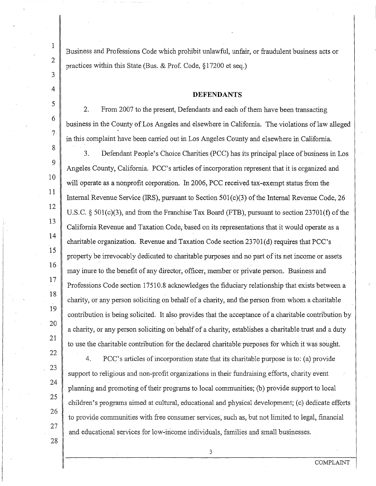Business and Professions Code which prohibit unlawful, unfair, or fraudulent business acts or practices within this State (Bus. & Prof. Code, § 17200 et seq.)

#### **DEFENDANTS**

2. From 2007 to the present, Defendants and each of them have been transacting business in the County of Los Angeles and elsewhere in California. The violations of law alleged in this complaint have been carried out in Los Angeles County and elsewhere in California.

3. Defendant People's Choice Charities (PCC) has its principal place of business in Los Angeles County, California. PCC's articles of incorporation represent that it is organized and will operate as a nonprofit corporation. In 2006, PCC received tax-exempt status from the Internal Revenue Service (IRS), pursuant to Section 50l(c)(3) of the Internal Revenue Code, 26 U.S.C. § 501(c)(3), and from the Franchise Tax Board (FTB), pursuant to section 23701(f) of the California Revenue and Taxation Code, based on its representations that it would operate as a charitable organization. Revenue and Taxation Code section 2370l(d) requires that PCC's property be irrevocably dedicated to charitable purposes and no part of its net income or assets may inure to the benefit of any director, officer, member or private person. Business and Professions Code section 17510.8 acknowledges the fiduciary relationship that exists between a charity, or any person soliciting on behalf of a charity, and the person from whom a charitable contribution is being solicited. It also provides that the acceptance of a charitable contribution by a charity, or any person soliciting on behalf of a charity, establishes a charitable trust and a duty to use the charitable contribution for the declared charitable purposes for which it was sought.

4. PCC's articles of incorporation state that its charitable purpose is to: (a) provide support to religious and non-profit organizations in their fundraising efforts, charity event planning and promoting of their programs to local communities; (b) provide support to local children's programs aimed at cultural, educational and physical development; (c) dedicate efforts to provide communities with free consumer services, such as, but not limited to legal, financial and educational services for low-income individuals, families and small businesses.

3

28

1

2

3

4

5

6

7

8

9

10

11

12

13

14

15

16

17

18

19

20

21

22

23

24

25

26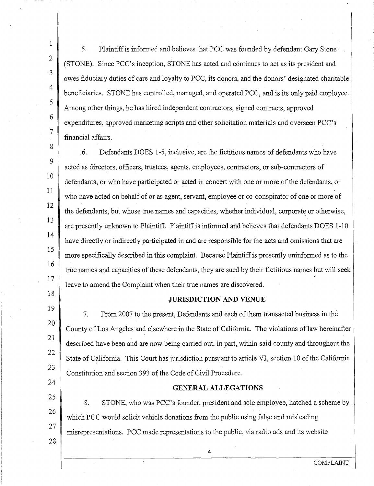5. Plaintiff is informed and believes that PCC was founded by defendant Gary Stone (STONE). Since PCC's inception, STONE has acted and continues to act as its president and owes fiduciary duties of care and loyalty to PCC, its donors, and the donors' designated charitable beneficiaries. STONE has controlled, managed, and operated PCC, and is its only paid employee. Among other things, he has hired independent contractors, signed contracts, approved expenditures, approved marketing scripts and other solicitation materials and overseen PCC's financial affairs.

1

2

3

4

5

6

7

8

9

10

11

12

13

14

15

16

17

18

19

20

21

22

23

24

25

26

27

28

6. Defendants DOES 1-5, inclusive, are the fictitious names of defendants who have acted as directors, officers, trustees, agents, employees, contractors, or sub-contractors of defendants, or who have participated or acted in concert with one or more of the defendants, or who have acted on behalf of or as agent, servant, employee or co-conspirator of one or more of the defendants, but whose true names and capacities, whether individual, corporate or otherwise, are presently unknown to Plaintiff. Plaintiff is informed and believes that defendants DOES 1-10 have directly or indirectly participated in and are responsible for the acts and omissions that are more specifically described in this complaint. Because Plaintiff is presently uninformed as to the true names and capacities of these defendants, they are sued by their fictitious names but will seek leave to amend the Complaint when their true names are discovered.

### **JURISDICTION AND VENUE**

7. From 2007 to the present, Defendants and each of them transacted business in the County of Los Angeles and elsewhere in the State of California. The violations of law hereinafter •, described have been and are now being carried out, in part, within said county and throughout the State of California. This Court has jurisdiction pursuant to article VI, section 10 of the California Constitution and section 393 of the Code of Civil Procedure.

### **GENERAL ALLEGATIONS**

8. STONE, who was PCC's founder, president and sole employee, hatched a scheme by which PCC would solicit vehicle donations from the public using false and misleading misrepresentations. PCC made representations to the public, via radio ads and its website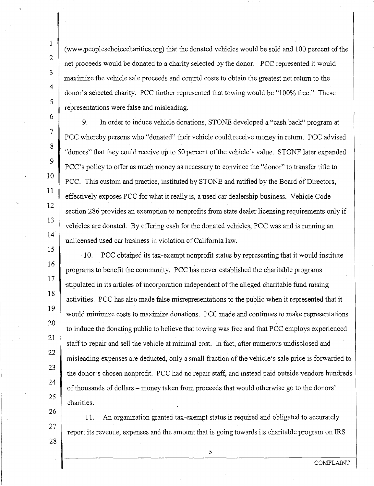15

16

17

21

(www .peopleschoicecharities.org) that the donated vehicles would be sold and 100 percent of the net proceeds would be donated to a charity selected by the donor. PCC represented it would maximize the vehicle sale proceeds and control costs to obtain the greatest net return to the donor's selected charity. PCC further represented that towing would be "100% free." These representations were false and misleading.

9. In order to induce vehicle donations, STONE developed a "cash back" program at PCC whereby persons who "donated" their vehicle could. receive money in return. PCC advised "donors" that they could receive up to 50 percent of the vehicle's value. STONE later expanded PCC's policy to offer as much money as necessary to convince the "donor" to transfer title to PCC. This custom and practice, instituted by STONE and ratified by the Board of Directors, effectively exposes PCC for what it really is, a used car dealership business. Vehicle Code section 286 provides an exemption to nonprofits from state dealer licensing requirements only if vehicles are donated. By offering cash for the donated vehicles, PCC was and is running an unlicensed used car business in violation of California law.

10. PCC obtained its tax-exempt nonprofit status by representing that it would institute programs to benefit the community. PCC has never established the charitable programs stipulated in its articles of incorporation independent of the alleged charitable fund raising activities. PCC has also made false misrepresentations to the public when it represented that it would minimize costs to maximize donations. PCC made and continues to make representations to induce the donating public to believe that towing was free and that PCC employs experienced staff to repair and sell the vehicle at minimal cost. In fact, after numerous undisclosed and misleading expenses are deducted, only a small fraction of the vehicle's sale price is forwarded to the donor's chosen nonprofit. PCC had no repair staff, and instead paid outside vendors hundreds of thousands of dollars - money taken from proceeds that would otherwise go to the donors' charities. 18 19 20 22 23 24 25

11. An organization granted tax-exempt status is required and obligated to accurately report its revenue, expenses and the amount that is going towards its charitable program on IRS 26

28

27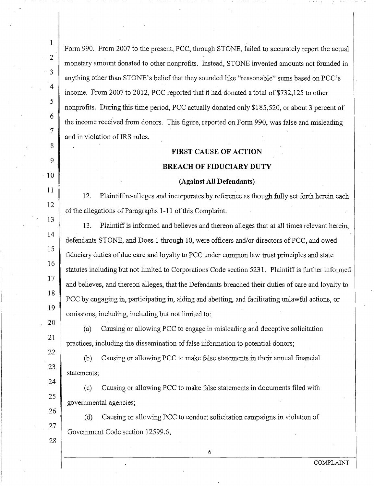| L                 | Form 990. From 2007 to the present, PCC, through STONE, failed to accurately report the actual      |  |  |
|-------------------|-----------------------------------------------------------------------------------------------------|--|--|
| $\overline{2}$    | monetary amount donated to other nonprofits. Instead, STONE invented amounts not founded in         |  |  |
| 3                 | anything other than STONE's belief that they sounded like "reasonable" sums based on PCC's          |  |  |
| 4                 | income. From 2007 to 2012, PCC reported that it had donated a total of \$732,125 to other           |  |  |
| 5                 | nonprofits. During this time period, PCC actually donated only \$185,520, or about 3 percent of     |  |  |
| 6                 | the income received from donors. This figure, reported on Form 990, was false and misleading        |  |  |
| 7                 | and in violation of IRS rules.                                                                      |  |  |
| 8                 | <b>FIRST CAUSE OF ACTION</b>                                                                        |  |  |
| 9                 | <b>BREACH OF FIDUCIARY DUTY</b>                                                                     |  |  |
| 10                | (Against All Defendants)                                                                            |  |  |
| 11                | 12.<br>Plaintiff re-alleges and incorporates by reference as though fully set forth herein each     |  |  |
| 12                | of the allegations of Paragraphs 1-11 of this Complaint.                                            |  |  |
| 13                | Plaintiff is informed and believes and thereon alleges that at all times relevant herein,<br>13.    |  |  |
| 14                | defendants STONE, and Does 1 through 10, were officers and/or directors of PCC, and owed            |  |  |
| 15                | fiduciary duties of due care and loyalty to PCC under common law trust principles and state         |  |  |
| 16                | statutes including but not limited to Corporations Code section 5231. Plaintiff is further informed |  |  |
| 17                | and believes, and thereon alleges, that the Defendants breached their duties of care and loyalty to |  |  |
| 18                | PCC by engaging in, participating in, aiding and abetting, and facilitating unlawful actions, or    |  |  |
| 19                | omissions, including, including but not limited to:                                                 |  |  |
| 20                | Causing or allowing PCC to engage in misleading and deceptive solicitation<br>(a)                   |  |  |
| 21                | practices, including the dissemination of false information to potential donors;                    |  |  |
| 22                | Causing or allowing PCC to make false statements in their annual financial<br>(b)                   |  |  |
| 23<br>statements; |                                                                                                     |  |  |
| 24                | Causing or allowing PCC to make false statements in documents filed with<br>(c)                     |  |  |
| 25                | governmental agencies;                                                                              |  |  |
| 26<br>27          | Causing or allowing PCC to conduct solicitation campaigns in violation of<br>(d)                    |  |  |
| 28                | Government Code section 12599.6;                                                                    |  |  |
|                   | 6                                                                                                   |  |  |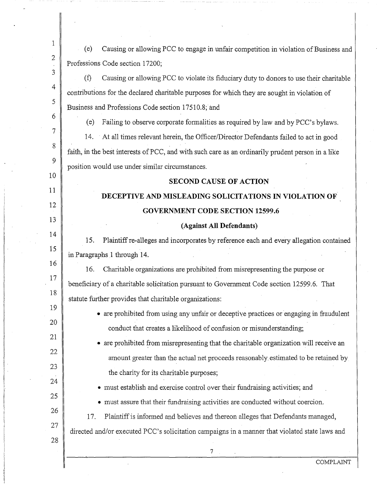| 1               | Causing or allowing PCC to engage in unfair competition in violation of Business and<br>(e)       |  |  |
|-----------------|---------------------------------------------------------------------------------------------------|--|--|
| 2               | Professions Code section 17200;                                                                   |  |  |
| 3               | (f)<br>Causing or allowing PCC to violate its fiduciary duty to donors to use their charitable    |  |  |
| 4               | contributions for the declared charitable purposes for which they are sought in violation of      |  |  |
| 5               | Business and Professions Code section 17510.8; and                                                |  |  |
| 6               | Failing to observe corporate formalities as required by law and by PCC's bylaws.<br>(e)           |  |  |
| $\overline{7}$  | 14. At all times relevant herein, the Officer/Director Defendants failed to act in good           |  |  |
| 8               | faith, in the best interests of PCC, and with such care as an ordinarily prudent person in a like |  |  |
| 9               | position would use under similar circumstances.                                                   |  |  |
| 10              | <b>SECOND CAUSE OF ACTION</b>                                                                     |  |  |
| 11              | DECEPTIVE AND MISLEADING SOLICITATIONS IN VIOLATION OF                                            |  |  |
| 12              | <b>GOVERNMENT CODE SECTION 12599.6</b>                                                            |  |  |
| 13<br>14        | (Against All Defendants)                                                                          |  |  |
| $\overline{15}$ | Plaintiff re-alleges and incorporates by reference each and every allegation contained<br>15.     |  |  |
| 16              | in Paragraphs 1 through 14.                                                                       |  |  |
| 17              | 16.<br>Charitable organizations are prohibited from misrepresenting the purpose or                |  |  |
| 18              | beneficiary of a charitable solicitation pursuant to Government Code section 12599.6. That        |  |  |
| 19              | statute further provides that charitable organizations:                                           |  |  |
| 20              | • are prohibited from using any unfair or deceptive practices or engaging in fraudulent           |  |  |
| 21              | conduct that creates a likelihood of confusion or misunderstanding;                               |  |  |
| 22              | • are prohibited from misrepresenting that the charitable organization will receive an            |  |  |
| 23              | amount greater than the actual net proceeds reasonably estimated to be retained by                |  |  |
| 24              | the charity for its charitable purposes;                                                          |  |  |
| 25              | • must establish and exercise control over their fundraising activities; and                      |  |  |
| 26              | must assure that their fundraising activities are conducted without coercion.                     |  |  |
| 27              | 17.<br>Plaintiff is informed and believes and thereon alleges that Defendants managed,            |  |  |
| 28              | directed and/or executed PCC's solicitation campaigns in a manner that violated state laws and    |  |  |
|                 | 7                                                                                                 |  |  |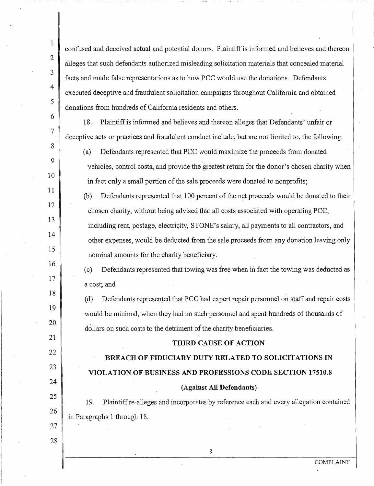confused and deceived actual and potential donors. Plaintiff is informed and believes and thereon alleges that such defendants authorized misleading solicitation materials that concealed material facts and made false representations as to how PCC would use the donations. Defendants executed deceptive and fraudulent solicitation campaigns throughout California and obtained donations from hundreds of California residents and others.

18. Plaintiff is infonned and believes and thereon alleges that Defendants' unfair or deceptive acts or practices and fraudulent conduct include, but are not limited to, the following:

1

2

3

4

5

6

7

8

9

10

11

12

13

14

15

16

17

18

19

20

21

22

23

24

25

26

27

28

(a) Defendants represented that PCC would maximize the proceeds from donated vehicles, control costs, and provide the greatest return for the donor's chosen charity when in fact only a small portion of the sale proceeds were donated to nonprofits;

(b) Defendants represented that 100 percent of the net proceeds would be donated to their chosen charity, without being advised that all costs associated with operating PCC,

including rent, postage, electricity, STONE's salary, all payments to all contractors, and other expenses, would be deducted from the sale proceeds from any donation leaving only nominal amounts for the charity beneficiary.

( c) Defendants represented that towing was free when in fact the towing was deducted as a cost; and

( d) Defendants represented that PCC had expert repair personnel on staff and repair costs would be minimal, when they had no such personnel and spent hundreds of thousands of dollars on such costs to the detriment of the charity beneficiaries.

# **THIRD CAUSE OF ACTION**

**BREACH OF FIDUCIARY DUTY RELATED TO SOLICITATIONS IN VIOLATION OF BUSINESS AND PROFESSIONS CODE SECTION 17510.8 (Against All Defendants).** 

19. Plaintiff re-alleges and incorporates by reference each and every allegation contained in Paragraphs 1 through 18.

8

COMPLAINT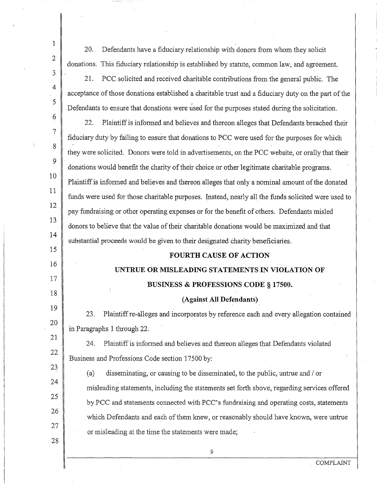| $\mathbf{1}$   | 20.<br>Defendants have a fiduciary relationship with donors from whom they solicit                   |  |  |
|----------------|------------------------------------------------------------------------------------------------------|--|--|
| $\overline{2}$ | donations. This fiduciary relationship is established by statute, common law, and agreement.         |  |  |
| 3              | 21.<br>PCC solicited and received charitable contributions from the general public. The              |  |  |
| 4              | acceptance of those donations established a charitable trust and a fiduciary duty on the part of the |  |  |
| 5              | Defendants to ensure that donations were used for the purposes stated during the solicitation.       |  |  |
| 6              | 22.<br>Plaintiff is informed and believes and thereon alleges that Defendants breached their         |  |  |
| $\overline{7}$ | fiduciary duty by failing to ensure that donations to PCC were used for the purposes for which       |  |  |
| 8              | they were solicited. Donors were told in advertisements, on the PCC website, or orally that their    |  |  |
| 9              | donations would benefit the charity of their choice or other legitimate charitable programs.         |  |  |
| 10             | Plaintiff is informed and believes and thereon alleges that only a nominal amount of the donated     |  |  |
| 11             | funds were used for those charitable purposes. Instead, nearly all the funds solicited were used to  |  |  |
| 12             | pay fundraising or other operating expenses or for the benefit of others. Defendants misled          |  |  |
| 13             | donors to believe that the value of their charitable donations would be maximized and that           |  |  |
| 14             | substantial proceeds would be given to their designated charity beneficiaries.                       |  |  |
| 15             | <b>FOURTH CAUSE OF ACTION</b>                                                                        |  |  |
| 16<br>17       | UNTRUE OR MISLEADING STATEMENTS IN VIOLATION OF                                                      |  |  |
| 18             | <b>BUSINESS &amp; PROFESSIONS CODE § 17500.</b>                                                      |  |  |
| 19             | (Against All Defendants)                                                                             |  |  |
| 20             | Plaintiff re-alleges and incorporates by reference each and every allegation contained<br>23.        |  |  |
| 21             | in Paragraphs 1 through 22.                                                                          |  |  |
|                |                                                                                                      |  |  |
|                | 24.<br>Plaintiff is informed and believes and thereon alleges that Defendants violated               |  |  |
| 22             | Business and Professions Code section 17500 by:                                                      |  |  |
| 23             | disseminating, or causing to be disseminated, to the public, untrue and / or<br>(a)                  |  |  |
| 24             | misleading statements, including the statements set forth above, regarding services offered          |  |  |
| 25             | by PCC and statements connected with PCC's fundraising and operating costs, statements               |  |  |
| 26             | which Defendants and each of them knew, or reasonably should have known, were untrue                 |  |  |
| 27<br>28       | or misleading at the time the statements were made;                                                  |  |  |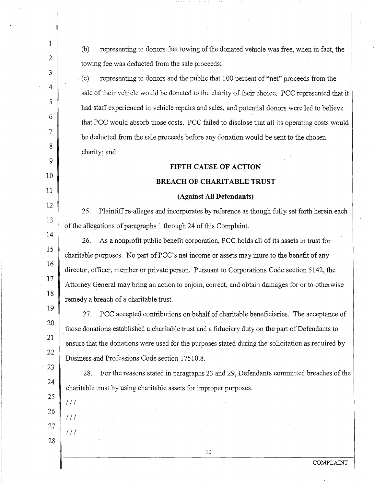(b) representing to donors that towing of the donated vehicle was free, when in fact, the towing fee was deducted from the sale proceeds;

( c) representing to donors and the public that 100 percent of "net" proceeds from the sale of their vehicle would be donated to the charity of their choice. PCC represented that it had staff experienced in vehicle repairs and sales, and potential donors were led to believe that PCC would absorb those costs. PCC failed to disclose that all its operating costs would be deducted from the sale proceeds before any donation would be sent to the chosen charity; and

# **FIFTH CAUSE OF ACTION**

### **BREACH OF CHARITABLE TRUST**

### **(Against All Defendants)**

25. Plaintiff re-alleges and incorporates by reference as though fully set forth herein each of the allegations of paragraphs 1 through 24 of this Complaint.

26. As a nonprofit public benefit corporation, PCC holds all of its assets in trust for charitable purposes. No part of PCC's net income or assets may inure to the benefit of any director, officer, member or private person. Pursuant to Corporations Code section 5142, the Attorney General may bring an action to enjoin, correct, and obtain damages for or to otherwise remedy a breach of a charitable trust.

27. PCC accepted contributions on behalf of charitable beneficiaries. The acceptance of those donations established a charitable trust and a fiduciary duty on the part of Defendants to ensure that the donations were used for the purposes stated during the solicitation as required by Business and Professions Code section 17510.8.

28. For the reasons stated in paragraphs 23 and 29, Defendants committed breaches of the charitable trust by using charitable assets for improper purposes.

24 25

1

2

3

4

5

6

7

8

9

10

11

12

13

14

15

16

17

18

19

20

21

22

23

26

 $111$ 

 $111$ 

 $111$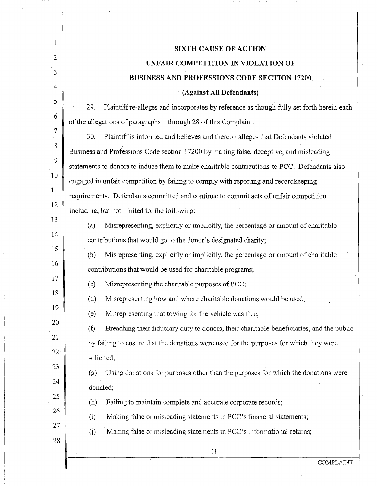|          | <b>SIXTH CAUSE OF ACTION</b>                                                                                  |  |  |
|----------|---------------------------------------------------------------------------------------------------------------|--|--|
| 2        | UNFAIR COMPETITION IN VIOLATION OF                                                                            |  |  |
| 3        | <b>BUSINESS AND PROFESSIONS CODE SECTION 17200</b>                                                            |  |  |
| 4        | (Against All Defendants)                                                                                      |  |  |
| 5        | 29.<br>Plaintiff re-alleges and incorporates by reference as though fully set forth herein each               |  |  |
| 6        | of the allegations of paragraphs 1 through 28 of this Complaint.                                              |  |  |
| 7        | 30.<br>Plaintiff is informed and believes and thereon alleges that Defendants violated                        |  |  |
| 8        | Business and Professions Code section 17200 by making false, deceptive, and misleading                        |  |  |
| 9        | statements to donors to induce them to make charitable contributions to PCC. Defendants also                  |  |  |
| 10       | engaged in unfair competition by failing to comply with reporting and recordkeeping                           |  |  |
| 11       | requirements. Defendants committed and continue to commit acts of unfair competition                          |  |  |
| 12       | including, but not limited to, the following:                                                                 |  |  |
| 13       | (a)<br>Misrepresenting, explicitly or implicitly, the percentage or amount of charitable                      |  |  |
| 14       | contributions that would go to the donor's designated charity;                                                |  |  |
| 15       | Misrepresenting, explicitly or implicitly, the percentage or amount of charitable<br>(b)                      |  |  |
| 16       | contributions that would be used for charitable programs;                                                     |  |  |
| 17       | Misrepresenting the charitable purposes of PCC;<br>(c)                                                        |  |  |
| 18       | (d)<br>Misrepresenting how and where charitable donations would be used;                                      |  |  |
| 19       | Misrepresenting that towing for the vehicle was free;<br>(e)                                                  |  |  |
| 20       | Breaching their fiduciary duty to donors, their charitable beneficiaries, and the public<br>$\left( f\right)$ |  |  |
| 21       | by failing to ensure that the donations were used for the purposes for which they were                        |  |  |
| 22<br>23 | solicited;                                                                                                    |  |  |
| 24       | Using donations for purposes other than the purposes for which the donations were<br>(g)                      |  |  |
| 25       | donated;                                                                                                      |  |  |
| 26       | Failing to maintain complete and accurate corporate records;<br>(h)                                           |  |  |
| 27       | Making false or misleading statements in PCC's financial statements;<br>(i)                                   |  |  |
| 28       | Making false or misleading statements in PCC's informational returns;<br>(j)                                  |  |  |
|          | 11                                                                                                            |  |  |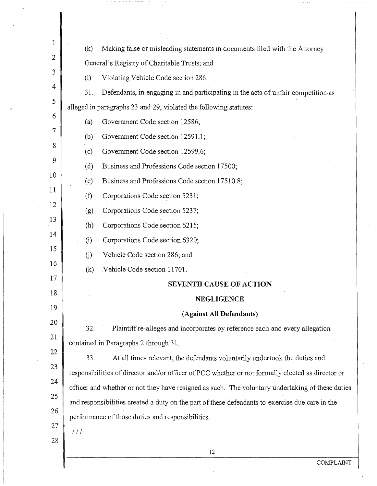| 1            | (k)<br>Making false or misleading statements in documents filed with the Attorney                 |  |
|--------------|---------------------------------------------------------------------------------------------------|--|
| $\mathbf{2}$ | General's Registry of Charitable Trusts; and                                                      |  |
| 3            | (1)<br>Violating Vehicle Code section 286.                                                        |  |
| 4            | 31.<br>Defendants, in engaging in and participating in the acts of unfair competition as          |  |
| 5            | alleged in paragraphs 23 and 29, violated the following statutes:                                 |  |
| 6            | Government Code section 12586;<br>(a)                                                             |  |
| 7            | Government Code section 12591.1;<br>(b)                                                           |  |
| 8            | Government Code section 12599.6;<br>(c)                                                           |  |
| 9            | (d)<br>Business and Professions Code section 17500;                                               |  |
| 10           | Business and Professions Code section 17510.8;<br>(e)                                             |  |
| 11           | (f)<br>Corporations Code section 5231;                                                            |  |
| 12           | Corporations Code section 5237;<br>(g)                                                            |  |
| 13           | Corporations Code section 6215;<br>(h)                                                            |  |
| 14           | Corporations Code section 6320;<br>(i)                                                            |  |
| 15           | Vehicle Code section 286; and<br>(i)                                                              |  |
| 16<br>17     | Vehicle Code section 11701.<br>(k)                                                                |  |
| 18           | <b>SEVENTH CAUSE OF ACTION</b>                                                                    |  |
| 19           | <b>NEGLIGENCE</b>                                                                                 |  |
| 20           | (Against All Defendants)                                                                          |  |
| 21           | Plaintiff re-alleges and incorporates by reference each and every allegation<br>32.               |  |
| 22           | contained in Paragraphs 2 through 31.                                                             |  |
| 23           | 33.<br>At all times relevant, the defendants voluntarily undertook the duties and                 |  |
| 24           | responsibilities of director and/or officer of PCC whether or not formally elected as director or |  |
| 25           | officer and whether or not they have resigned as such. The voluntary undertaking of these duties  |  |
| 26           | and responsibilities created a duty on the part of these defendants to exercise due care in the   |  |
| 27           | performance of those duties and responsibilities.                                                 |  |
| 28           | 111                                                                                               |  |
|              | 12                                                                                                |  |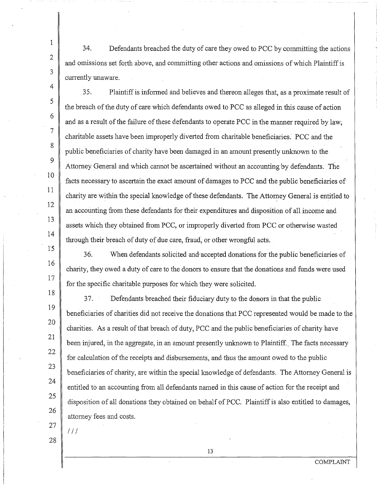34. Defendants breached the duty of care they owed to PCC by committing the actions and omissions set forth above, and committing other actions and omissions of which Plaintiff is currently unaware.

35. Plaintiff is informed and believes and thereon alleges that, as a proximate result of the breach of the duty of care which defendants owed to PCC as alleged in this cause of action and as a result of the failure of these defendants to operate PCC in the manner required by law; charitable assets have been improperly diverted from charitable beneficiaries. PCC and the public beneficiaries of charity have been damaged in an amount presently unknown to the Attorney General and which cannot be ascertained without an accounting by defendants. The facts necessary to ascertain the exact amount of damages to PCC and the public beneficiaries of charity are within the special knowledge of these defendants. The Attorney General is entitled to an accounting from these defendants for their expenditures and disposition of all income and assets which they obtained from PCC, or improperly diverted from PCC or otherwise wasted through their breach of duty of due care, fraud, or other wrongful acts.

36. When defendants solicited an&accepted donations for the public beneficiaries of charity, they owed a duty of care to the donors to ensure that the donations and funds were used for the specific charitable purposes for which they were solicited.

3 7. Defendants breached their fiduciary duty to the donors in that the public beneficiaries of charities did not receive the donations that PCC represented would be made to the charities. As a result of that breach of duty, PCC and the public beneficiaries of charity have been injured, in the aggregate, in an amount presently unknown to Plaintiff. The facts necessary for calculation of the receipts and disbursements, and thus the amount owed to the public beneficiaries of charity, are within the special knowledge of defendants. The Attorney General is entitled to an accounting from all defendants named in this cause of action for the receipt and disposition of all donations they obtained on behalf of PCC. Plaintiff is also entitled to damages, attorney fees and costs.

27 28

 $111$ 

1

2

3

4

5

6

7

8

9

10

11

12

13

14

1'5

16

17

18

19

20

21

22

23

24

25

26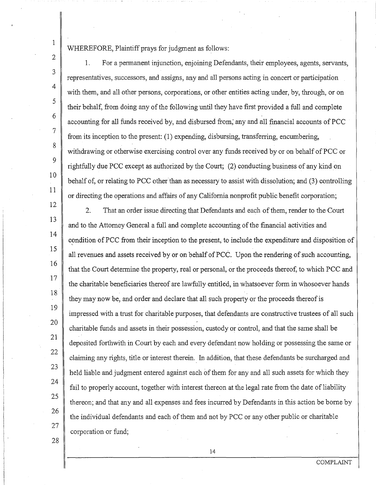1 2

3

4

5

6

7

8

9

10

11

12

13

14

15

16

17

18

19

20

21

22

23

24

25

26

27

# WHEREFORE, Plaintiff prays for judgment as follows:

1. For a permanent injunction, enjoining Defendants, their employees, agents, servants, representatives, successors, and assigns, any and all persons acting in concert or participation with them, and all other persons, corporations, or other entities acting under, by, through, or on their behalf, from doing any of the following until they have first provided a full and complete accounting for all funds received by, and disbursed from; any and all financial accounts of PCC from its inception to the present: (1) expending, disbursing, transferring, encumbering, withdrawing or otherwise exercising control over any funds received by or on behalf of PCC or rightfully due PCC except as authorized by the Court; (2) conducting business of any kind on behalf of, or relating to PCC other than as necessary to assist with dissolution; and (3) controlling or directing the operations and affairs of any California nonprofit public benefit corporation;

2. That an order issue directing that Defendants and each of them, render to the Court and to the Attorney General a full and complete accounting of the financial activities and condition of PCC from their inception to the present, to include the expenditure and disposition of all revenues and assets received by or on behalf of PCC. Upon the rendering of such accounting, that the Court determine the property, real or personal, or the proceeds thereof, to which PCC and the charitable beneficiaries thereof are lawfully entitled, in whatsoever form in whosoever hands they may now be, and order and declare that all such property or the proceeds thereof is impressed with a trust for charitable purposes, that defendants are constructive trustees of all such charitable funds and assets in their possession, custody or control, and that the same shall be deposited forthwith in Court by each and every defendant now holding or possessing the same or claiming any rights, title or interest therein. In addition, that these defendants be surcharged and held liable and judgment entered against each of them for any and all such assets for which they fail to properly account, together with interest thereon at the legal rate from the date of liability thereon; and that any and all expenses and fees incurred by Defendants in this action be borne by the individual defendants and each of them and not by PCC or any other public or charitable corporation or fund;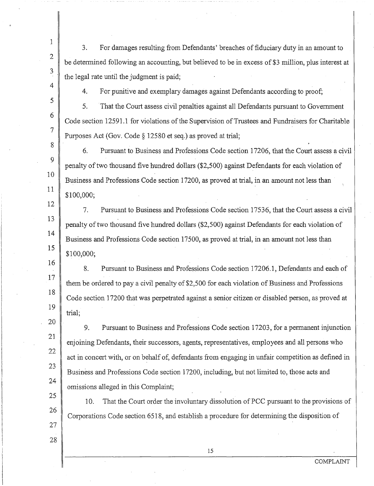3. For damages resulting from Defendants' breaches of fiduciary duty in an amount to be detennined following an accounting, but believed to be in excess of \$3 million, plus interest at the legal rate until the judgment is paid;

1

2

3

4

5

6

7

8

 $\overline{Q}$ 

10

11

12

13

14

15

27

28

4. For punitive and exemplary damages against Defendants according to proof;

5. That the Court assess civil penalties against all Defendants pursuant to Government Code section 12591.1 for violations of the Supervision of Trustees and Fundraisers for Charitable Purposes Act (Gov. Code§ 12580 et seq.) as proved at trial;

6. Pursuant to Business and Professions Code section 17206, that the Court assess a civil penalty of two thousand five hundred dollars (\$2,500) against Defendants for each violation of Business and Professions Code section 17200, as proved at trial, in an amount not less than \$100,000;

7. Pursuant to Business and Professions Code section 17536, that the Court assess a civil penalty of two thousand five hundred dollars (\$2,500) against Defendants for each violation of Business and Professions Code section 17500, as proved at trial, in an amount not less than \$100,000;

16 17 18 19 8. Pursuant to Business and Professions Code section 17206.1, Defendants and each of them he ordered to pay a civil penalty of \$2,500 for each violation of Business and Professions Code section 1 7200 that was perpetrated against a senior citizen or disabled person, as proved at trial;

20 21 22 23 24 9. Pursuant to Business and Professions Code section 17203, for a permanent injunction enjoining Defendants, their successors, agents, representatives, employees and all persons who act in concert with, or on behalf of, defendants from engaging in unfair competition as defined in Business and Professions Code section 17200, including, but not limited to, those acts and omissions alleged in this Complaint;

25 26 10. That the Court order the involuntary dissolution of PCC pursuant to the provisions of Corporations Code section 6518, and establish a procedure for detennining the disposition of